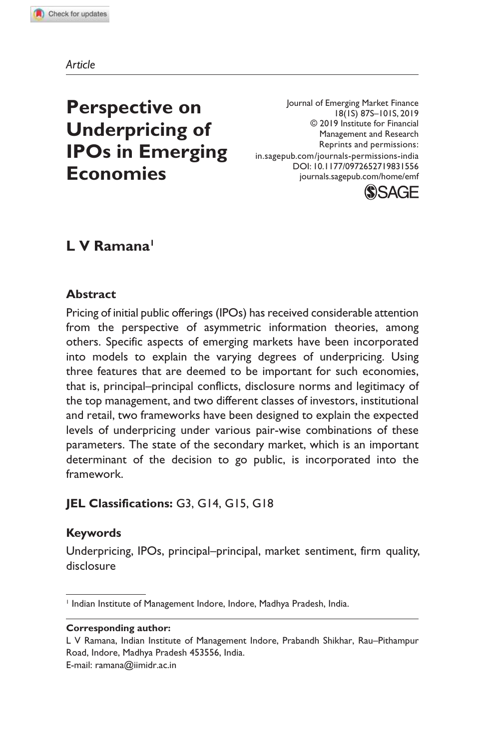*Article*

# **Perspective on Underpricing of IPOs in Emerging Economies**

Journal of Emerging Market Finance 18(1S) 87S–101S, 2019 © 2019 Institute for Financial Management and Research Reprints and permissions: in.sagepub.com/journals-permissions-india DOI: 10.1177/0972652719831556 journals.sagepub.com/home/emf



### **L V Ramana<sup>1</sup>**

#### **Abstract**

Pricing of initial public offerings (IPOs) has received considerable attention from the perspective of asymmetric information theories, among others. Specific aspects of emerging markets have been incorporated into models to explain the varying degrees of underpricing. Using three features that are deemed to be important for such economies, that is, principal–principal conflicts, disclosure norms and legitimacy of the top management, and two different classes of investors, institutional and retail, two frameworks have been designed to explain the expected levels of underpricing under various pair-wise combinations of these parameters. The state of the secondary market, which is an important determinant of the decision to go public, is incorporated into the framework.

#### **JEL Classifications:** G3, G14, G15, G18

#### **Keywords**

Underpricing, IPOs, principal–principal, market sentiment, firm quality, disclosure

#### **Corresponding author:**

L V Ramana, Indian Institute of Management Indore, Prabandh Shikhar, Rau–Pithampur Road, Indore, Madhya Pradesh 453556, India. E-mail: ramana@iimidr.ac.in

<sup>&</sup>lt;sup>1</sup> Indian Institute of Management Indore, Indore, Madhya Pradesh, India.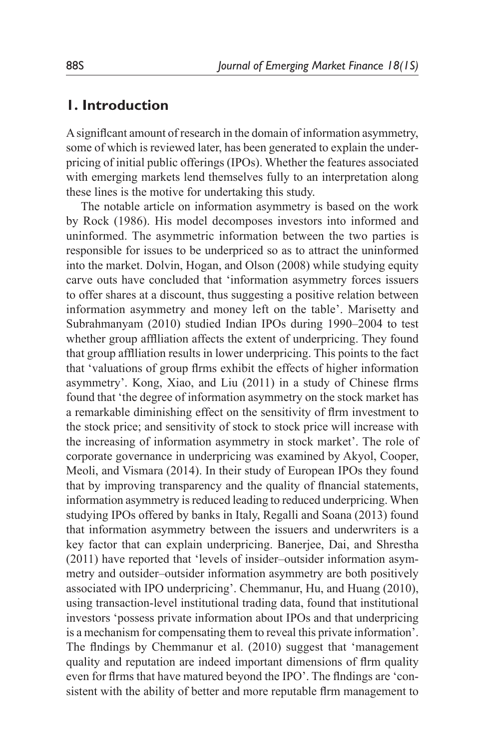#### **1. Introduction**

A significant amount of research in the domain of information asymmetry, some of which is reviewed later, has been generated to explain the underpricing of initial public offerings (IPOs). Whether the features associated with emerging markets lend themselves fully to an interpretation along these lines is the motive for undertaking this study.

The notable article on information asymmetry is based on the work by Rock (1986). His model decomposes investors into informed and uninformed. The asymmetric information between the two parties is responsible for issues to be underpriced so as to attract the uninformed into the market. Dolvin, Hogan, and Olson (2008) while studying equity carve outs have concluded that 'information asymmetry forces issuers to offer shares at a discount, thus suggesting a positive relation between information asymmetry and money left on the table'. Marisetty and Subrahmanyam (2010) studied Indian IPOs during 1990–2004 to test whether group affiliation affects the extent of underpricing. They found that group affiliation results in lower underpricing. This points to the fact that 'valuations of group firms exhibit the effects of higher information asymmetry'. Kong, Xiao, and Liu (2011) in a study of Chinese firms found that 'the degree of information asymmetry on the stock market has a remarkable diminishing effect on the sensitivity of firm investment to the stock price; and sensitivity of stock to stock price will increase with the increasing of information asymmetry in stock market'. The role of corporate governance in underpricing was examined by Akyol, Cooper, Meoli, and Vismara (2014). In their study of European IPOs they found that by improving transparency and the quality of financial statements, information asymmetry is reduced leading to reduced underpricing. When studying IPOs offered by banks in Italy, Regalli and Soana (2013) found that information asymmetry between the issuers and underwriters is a key factor that can explain underpricing. Banerjee, Dai, and Shrestha (2011) have reported that 'levels of insider–outsider information asymmetry and outsider–outsider information asymmetry are both positively associated with IPO underpricing'. Chemmanur, Hu, and Huang (2010), using transaction-level institutional trading data, found that institutional investors 'possess private information about IPOs and that underpricing is a mechanism for compensating them to reveal this private information'. The findings by Chemmanur et al. (2010) suggest that 'management quality and reputation are indeed important dimensions of firm quality even for firms that have matured beyond the IPO'. The findings are 'consistent with the ability of better and more reputable firm management to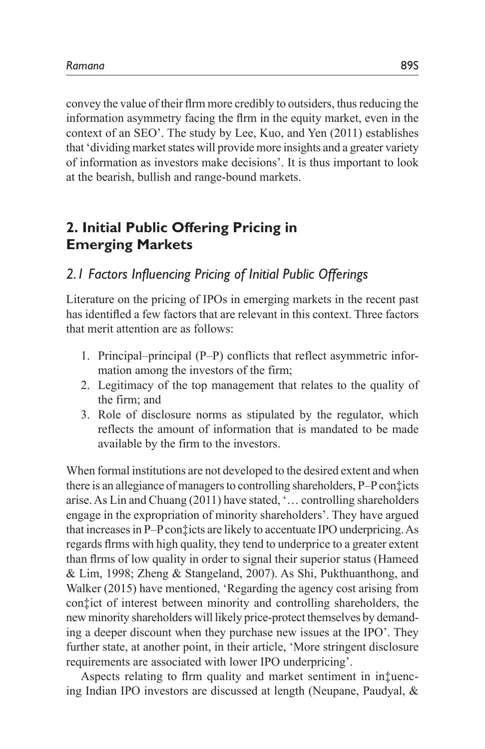convey the value of their firm more credibly to outsiders, thus reducing the information asymmetry facing the firm in the equity market, even in the context of an SEO'. The study by Lee, Kuo, and Yen (2011) establishes that 'dividing market states will provide more insights and a greater variety of information as investors make decisions'. It is thus important to look at the bearish, bullish and range-bound markets.

### **2. Initial Public Offering Pricing in Emerging Markets**

### *2.1 Factors Influencing Pricing of Initial Public Offerings*

Literature on the pricing of IPOs in emerging markets in the recent past has identified a few factors that are relevant in this context. Three factors that merit attention are as follows:

- 1. Principal–principal (P–P) conflicts that reflect asymmetric information among the investors of the firm;
- 2. Legitimacy of the top management that relates to the quality of the firm; and
- 3. Role of disclosure norms as stipulated by the regulator, which reflects the amount of information that is mandated to be made available by the firm to the investors.

When formal institutions are not developed to the desired extent and when there is an allegiance of managers to controlling shareholders, P-P conflicts arise. As Lin and Chuang (2011) have stated, '… controlling shareholders engage in the expropriation of minority shareholders'. They have argued that increases in P–P conflicts are likely to accentuate IPO underpricing. As regards firms with high quality, they tend to underprice to a greater extent than firms of low quality in order to signal their superior status (Hameed & Lim, 1998; Zheng & Stangeland, 2007). As Shi, Pukthuanthong, and Walker (2015) have mentioned, 'Regarding the agency cost arising from conflict of interest between minority and controlling shareholders, the new minority shareholders will likely price-protect themselves by demanding a deeper discount when they purchase new issues at the IPO'. They further state, at another point, in their article, 'More stringent disclosure requirements are associated with lower IPO underpricing'.

Aspects relating to firm quality and market sentiment in influencing Indian IPO investors are discussed at length (Neupane, Paudyal, &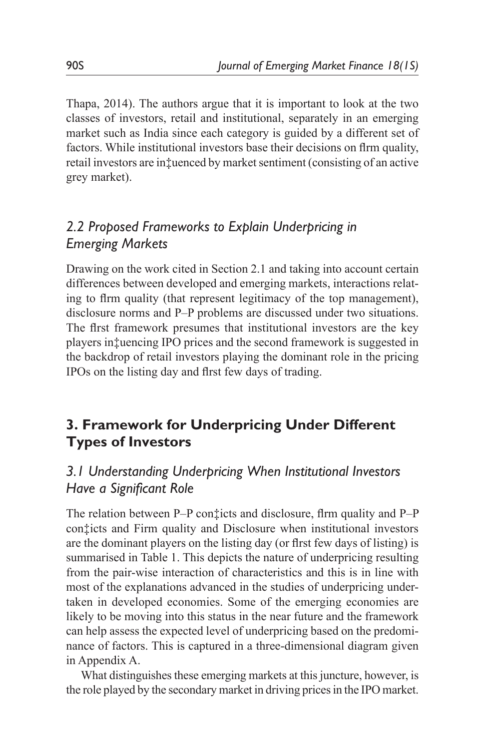Thapa, 2014). The authors argue that it is important to look at the two classes of investors, retail and institutional, separately in an emerging market such as India since each category is guided by a different set of factors. While institutional investors base their decisions on firm quality, retail investors are in tuenced by market sentiment (consisting of an active grey market).

### *2.2 Proposed Frameworks to Explain Underpricing in Emerging Markets*

Drawing on the work cited in Section 2.1 and taking into account certain differences between developed and emerging markets, interactions relating to firm quality (that represent legitimacy of the top management), disclosure norms and P–P problems are discussed under two situations. The first framework presumes that institutional investors are the key players in tuencing IPO prices and the second framework is suggested in the backdrop of retail investors playing the dominant role in the pricing IPOs on the listing day and first few days of trading.

### **3. Framework for Underpricing Under Different Types of Investors**

### *3.1 Understanding Underpricing When Institutional Investors Have a Significant Role*

The relation between P–P contricts and disclosure, firm quality and P–P conflicts and Firm quality and Disclosure when institutional investors are the dominant players on the listing day (or first few days of listing) is summarised in Table 1. This depicts the nature of underpricing resulting from the pair-wise interaction of characteristics and this is in line with most of the explanations advanced in the studies of underpricing undertaken in developed economies. Some of the emerging economies are likely to be moving into this status in the near future and the framework can help assess the expected level of underpricing based on the predominance of factors. This is captured in a three-dimensional diagram given in Appendix A.

What distinguishes these emerging markets at this juncture, however, is the role played by the secondary market in driving prices in the IPO market.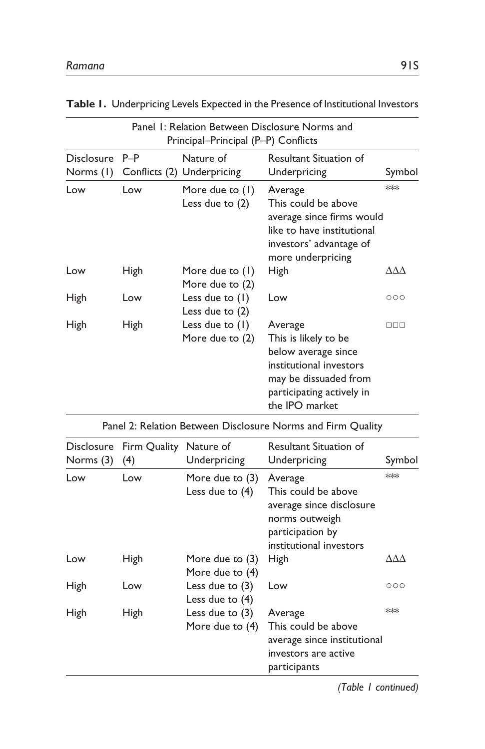| Panel 1: Relation Between Disclosure Norms and<br>Principal-Principal (P-P) Conflicts |       |                                         |                                                                                                                                                           |        |  |
|---------------------------------------------------------------------------------------|-------|-----------------------------------------|-----------------------------------------------------------------------------------------------------------------------------------------------------------|--------|--|
| <b>Disclosure</b><br>Norms (1)                                                        | $P-P$ | Nature of<br>Conflicts (2) Underpricing | <b>Resultant Situation of</b><br>Underpricing                                                                                                             | Symbol |  |
| Low                                                                                   | Low   | More due to $(I)$<br>Less due to $(2)$  | Average<br>This could be above<br>average since firms would<br>like to have institutional<br>investors' advantage of<br>more underpricing                 | $*$    |  |
| Low                                                                                   | High  | More due to $(I)$<br>More due to $(2)$  | High                                                                                                                                                      | ΛΛΛ    |  |
| <b>High</b>                                                                           | Low   | Less due to $(1)$<br>Less due to $(2)$  | Low                                                                                                                                                       | 000    |  |
| High                                                                                  | High  | Less due to $(1)$<br>More due to $(2)$  | Average<br>This is likely to be<br>below average since<br>institutional investors<br>may be dissuaded from<br>participating actively in<br>the IPO market | nnn    |  |

**Table 1.** Underpricing Levels Expected in the Presence of Institutional Investors

| Panel 2: Relation Between Disclosure Norms and Firm Quality |                     |                                      |                                                                                                                             |        |
|-------------------------------------------------------------|---------------------|--------------------------------------|-----------------------------------------------------------------------------------------------------------------------------|--------|
| <b>Disclosure</b><br>Norms (3)                              | Firm Quality<br>(4) | Nature of<br>Underpricing            | <b>Resultant Situation of</b><br>Underpricing                                                                               | Symbol |
| Low                                                         | Low                 | More due to $(3)$<br>Less due to (4) | Average<br>This could be above<br>average since disclosure<br>norms outweigh<br>participation by<br>institutional investors | **     |
| Low                                                         | High                | More due to (3)<br>More due to (4)   | High                                                                                                                        | ΛΛΛ    |
| High                                                        | Low                 | Less due to (3)<br>Less due to $(4)$ | Low                                                                                                                         | 000    |
| High                                                        | High                | Less due to $(3)$<br>More due to (4) | Average<br>This could be above<br>average since institutional<br>investors are active<br>participants                       | $*$    |

*(Table 1 continued)*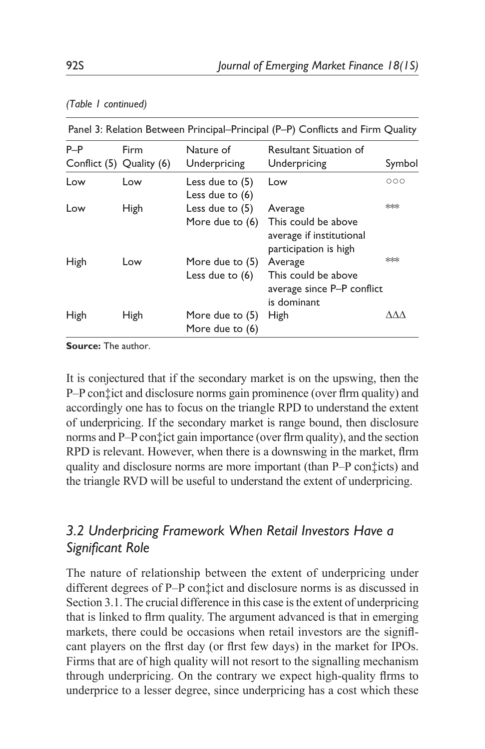| $P-P$<br>Conflict (5) Quality (6) | Firm | Nature of<br>Underpricing              | <b>Resultant Situation of</b><br>Underpricing                                       | Symbol |
|-----------------------------------|------|----------------------------------------|-------------------------------------------------------------------------------------|--------|
| Low                               | Low  | Less due to $(5)$<br>Less due to $(6)$ | Low                                                                                 | 000    |
| Low                               | High | Less due to $(5)$<br>More due to (6)   | Average<br>This could be above<br>average if institutional<br>participation is high | $*$    |
| High                              | Low  | More due to $(5)$<br>Less due to $(6)$ | Average<br>This could be above<br>average since P-P conflict<br>is dominant         | $*$    |
| High                              | High | More due to $(5)$<br>More due to (6)   | High                                                                                | ΔΔΛ    |

*(Table 1 continued)*

Panel 3: Relation Between Principal–Principal (P–P) Conflicts and Firm Quality

**Source:** The author.

It is conjectured that if the secondary market is on the upswing, then the P–P conflict and disclosure norms gain prominence (over firm quality) and accordingly one has to focus on the triangle RPD to understand the extent of underpricing. If the secondary market is range bound, then disclosure norms and P–P contrict gain importance (over firm quality), and the section RPD is relevant. However, when there is a downswing in the market, firm quality and disclosure norms are more important (than P–P conflicts) and the triangle RVD will be useful to understand the extent of underpricing.

#### *3.2 Underpricing Framework When Retail Investors Have a Significant Role*

The nature of relationship between the extent of underpricing under different degrees of P–P contrict and disclosure norms is as discussed in Section 3.1. The crucial difference in this case is the extent of underpricing that is linked to firm quality. The argument advanced is that in emerging markets, there could be occasions when retail investors are the significant players on the first day (or first few days) in the market for IPOs. Firms that are of high quality will not resort to the signalling mechanism through underpricing. On the contrary we expect high-quality firms to underprice to a lesser degree, since underpricing has a cost which these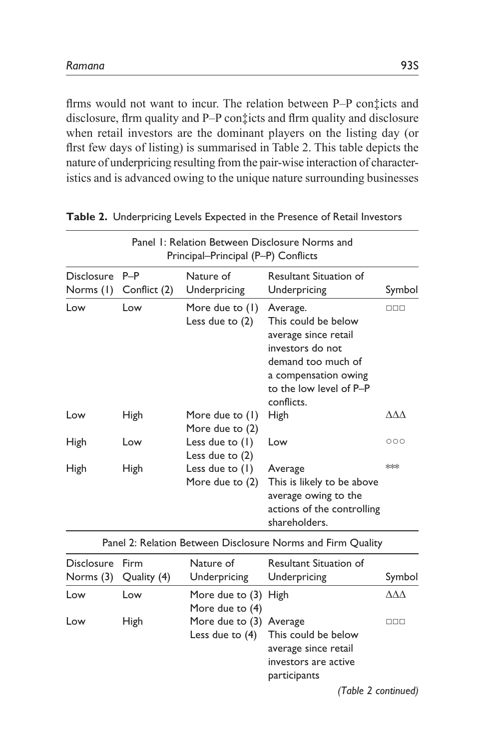firms would not want to incur. The relation between P–P contricts and disclosure, firm quality and P–P contricts and firm quality and disclosure when retail investors are the dominant players on the listing day (or first few days of listing) is summarised in Table 2. This table depicts the nature of underpricing resulting from the pair-wise interaction of characteristics and is advanced owing to the unique nature surrounding businesses

| Panel 1: Relation Between Disclosure Norms and<br>Principal-Principal (P-P) Conflicts |                                                             |                                        |                                                                                                                                                                    |        |  |
|---------------------------------------------------------------------------------------|-------------------------------------------------------------|----------------------------------------|--------------------------------------------------------------------------------------------------------------------------------------------------------------------|--------|--|
| <b>Disclosure</b><br>Norms (1)                                                        | $P-P$<br>Conflict (2)                                       | Nature of<br>Underpricing              | <b>Resultant Situation of</b><br>Underpricing                                                                                                                      | Symbol |  |
| Low                                                                                   | Low                                                         | More due to $(I)$<br>Less due to $(2)$ | Average.<br>This could be below<br>average since retail<br>investors do not<br>demand too much of<br>a compensation owing<br>to the low level of P-P<br>conflicts. | $\Box$ |  |
| Low                                                                                   | High                                                        | More due to (1)<br>More due to (2)     | <b>High</b>                                                                                                                                                        | ΛΛΛ    |  |
| <b>High</b>                                                                           | Low                                                         | Less due to $(1)$<br>Less due to $(2)$ | Low                                                                                                                                                                | 000    |  |
| <b>High</b>                                                                           | High                                                        | Less due to $(1)$<br>More due to $(2)$ | Average<br>This is likely to be above<br>average owing to the<br>actions of the controlling<br>shareholders.                                                       | **     |  |
|                                                                                       | Panel 2: Relation Between Disclosure Norms and Firm Quality |                                        |                                                                                                                                                                    |        |  |

**Table 2.** Underpricing Levels Expected in the Presence of Retail Investors

| Disclosure Firm<br>Norms $(3)$ | Quality (4) | Nature of<br>Underpricing               | <b>Resultant Situation of</b><br>Underpricing                                                       | Symbol |
|--------------------------------|-------------|-----------------------------------------|-----------------------------------------------------------------------------------------------------|--------|
| Low                            | Low         | More due to (3) High<br>More due to (4) |                                                                                                     | ΛΛΛ    |
| Low                            | High        | More due to (3) Average                 | Less due to (4) This could be below<br>average since retail<br>investors are active<br>participants | nnn    |

*(Table 2 continued)*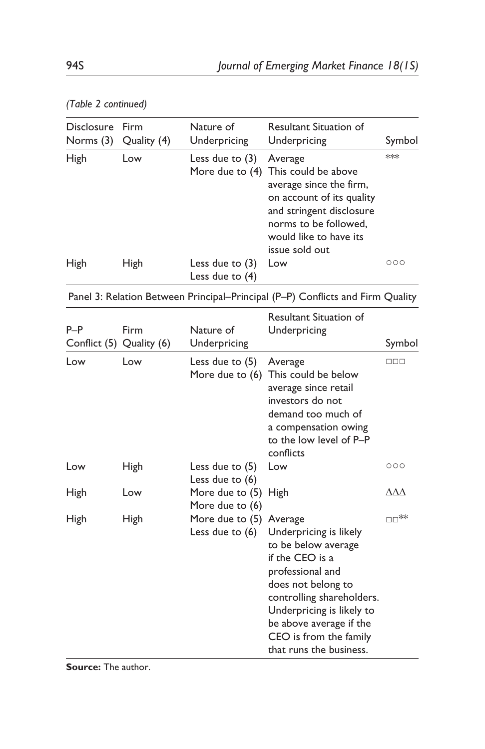| Disclosure<br>Norms $(3)$ | Firm<br>Quality (4) | Nature of<br>Underpricing              | <b>Resultant Situation of</b><br>Underpricing                                                                                                                                                           | Symbol |
|---------------------------|---------------------|----------------------------------------|---------------------------------------------------------------------------------------------------------------------------------------------------------------------------------------------------------|--------|
| High                      | Low                 | Less due to $(3)$                      | Average<br>More due to (4) This could be above<br>average since the firm,<br>on account of its quality<br>and stringent disclosure<br>norms to be followed,<br>would like to have its<br>issue sold out | $**$   |
| High                      | High                | Less due to $(3)$<br>Less due to $(4)$ | Low                                                                                                                                                                                                     | 000    |

#### *(Table 2 continued)*

Panel 3: Relation Between Principal–Principal (P–P) Conflicts and Firm Quality

| $P-P$<br>Conflict (5) Quality (6) | Firm | Nature of<br>Underpricing                  | <b>Resultant Situation of</b><br>Underpricing                                                                                                                                                                                                        | Symbol                                                        |
|-----------------------------------|------|--------------------------------------------|------------------------------------------------------------------------------------------------------------------------------------------------------------------------------------------------------------------------------------------------------|---------------------------------------------------------------|
| Low                               | Low  | Less due to $(5)$                          | Average<br>More due to (6) This could be below<br>average since retail<br>investors do not<br>demand too much of<br>a compensation owing<br>to the low level of P-P<br>conflicts                                                                     | 000                                                           |
| Low                               | High | Less due to $(5)$<br>Less due to $(6)$     | Low                                                                                                                                                                                                                                                  | 000                                                           |
| High                              | Low  | More due to (5)<br>More due to (6)         | High                                                                                                                                                                                                                                                 | ΛΛΛ                                                           |
| High                              | High | More due to (5) Average<br>Less due to (6) | Underpricing is likely<br>to be below average<br>if the CEO is a<br>professional and<br>does not belong to<br>controlling shareholders.<br>Underpricing is likely to<br>be above average if the<br>CEO is from the family<br>that runs the business. | $\square \square^{\textstyle \textstyle \ast\textstyle \ast}$ |

**Source:** The author.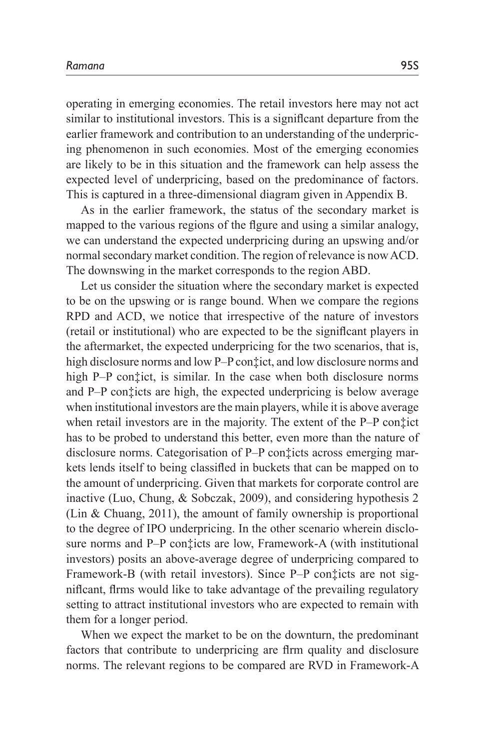operating in emerging economies. The retail investors here may not act similar to institutional investors. This is a significant departure from the earlier framework and contribution to an understanding of the underpricing phenomenon in such economies. Most of the emerging economies are likely to be in this situation and the framework can help assess the expected level of underpricing, based on the predominance of factors. This is captured in a three-dimensional diagram given in Appendix B.

As in the earlier framework, the status of the secondary market is mapped to the various regions of the figure and using a similar analogy, we can understand the expected underpricing during an upswing and/or normal secondary market condition. The region of relevance is now ACD. The downswing in the market corresponds to the region ABD.

Let us consider the situation where the secondary market is expected to be on the upswing or is range bound. When we compare the regions RPD and ACD, we notice that irrespective of the nature of investors (retail or institutional) who are expected to be the significant players in the aftermarket, the expected underpricing for the two scenarios, that is, high disclosure norms and low P–P conflict, and low disclosure norms and high P–P contrict, is similar. In the case when both disclosure norms and P–P conticts are high, the expected underpricing is below average when institutional investors are the main players, while it is above average when retail investors are in the majority. The extent of the P–P conflict has to be probed to understand this better, even more than the nature of disclosure norms. Categorisation of P–P contricts across emerging markets lends itself to being classified in buckets that can be mapped on to the amount of underpricing. Given that markets for corporate control are inactive (Luo, Chung, & Sobczak, 2009), and considering hypothesis 2 (Lin & Chuang, 2011), the amount of family ownership is proportional to the degree of IPO underpricing. In the other scenario wherein disclosure norms and P–P con‡icts are low, Framework-A (with institutional investors) posits an above-average degree of underpricing compared to Framework-B (with retail investors). Since P–P contricts are not significant, firms would like to take advantage of the prevailing regulatory setting to attract institutional investors who are expected to remain with them for a longer period.

When we expect the market to be on the downturn, the predominant factors that contribute to underpricing are firm quality and disclosure norms. The relevant regions to be compared are RVD in Framework-A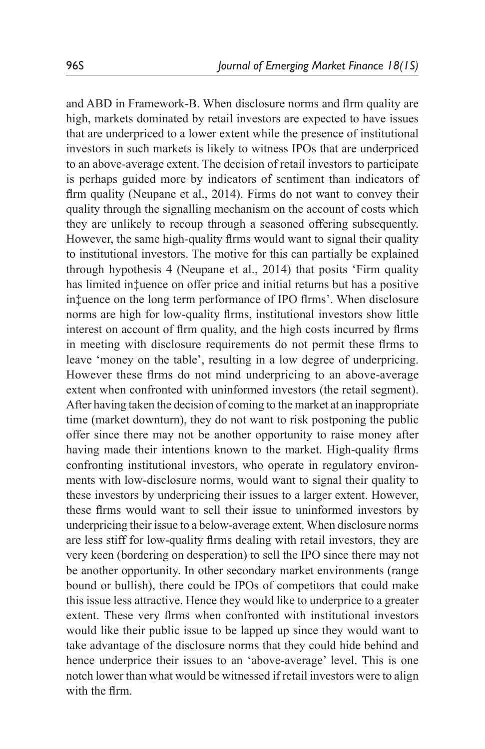and ABD in Framework-B. When disclosure norms and firm quality are high, markets dominated by retail investors are expected to have issues that are underpriced to a lower extent while the presence of institutional investors in such markets is likely to witness IPOs that are underpriced to an above-average extent. The decision of retail investors to participate is perhaps guided more by indicators of sentiment than indicators of firm quality (Neupane et al., 2014). Firms do not want to convey their quality through the signalling mechanism on the account of costs which they are unlikely to recoup through a seasoned offering subsequently. However, the same high-quality firms would want to signal their quality to institutional investors. The motive for this can partially be explained through hypothesis 4 (Neupane et al., 2014) that posits 'Firm quality has limited in tuence on offer price and initial returns but has a positive influence on the long term performance of IPO firms'. When disclosure norms are high for low-quality firms, institutional investors show little interest on account of firm quality, and the high costs incurred by firms in meeting with disclosure requirements do not permit these firms to leave 'money on the table', resulting in a low degree of underpricing. However these firms do not mind underpricing to an above-average extent when confronted with uninformed investors (the retail segment). After having taken the decision of coming to the market at an inappropriate time (market downturn), they do not want to risk postponing the public offer since there may not be another opportunity to raise money after having made their intentions known to the market. High-quality firms confronting institutional investors, who operate in regulatory environments with low-disclosure norms, would want to signal their quality to these investors by underpricing their issues to a larger extent. However, these firms would want to sell their issue to uninformed investors by underpricing their issue to a below-average extent. When disclosure norms are less stiff for low-quality firms dealing with retail investors, they are very keen (bordering on desperation) to sell the IPO since there may not be another opportunity. In other secondary market environments (range bound or bullish), there could be IPOs of competitors that could make this issue less attractive. Hence they would like to underprice to a greater extent. These very firms when confronted with institutional investors would like their public issue to be lapped up since they would want to take advantage of the disclosure norms that they could hide behind and hence underprice their issues to an 'above-average' level. This is one notch lower than what would be witnessed if retail investors were to align with the firm.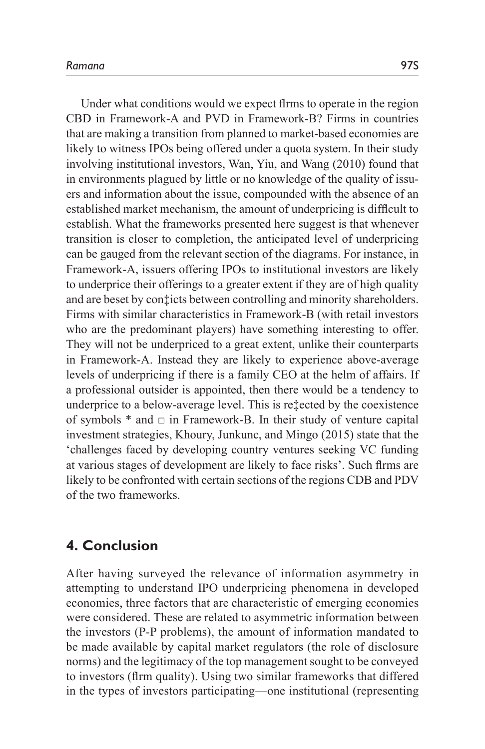Under what conditions would we expect firms to operate in the region CBD in Framework-A and PVD in Framework-B? Firms in countries that are making a transition from planned to market-based economies are likely to witness IPOs being offered under a quota system. In their study involving institutional investors, Wan, Yiu, and Wang (2010) found that in environments plagued by little or no knowledge of the quality of issuers and information about the issue, compounded with the absence of an established market mechanism, the amount of underpricing is difficult to establish. What the frameworks presented here suggest is that whenever transition is closer to completion, the anticipated level of underpricing can be gauged from the relevant section of the diagrams. For instance, in Framework-A, issuers offering IPOs to institutional investors are likely to underprice their offerings to a greater extent if they are of high quality and are beset by conflicts between controlling and minority shareholders. Firms with similar characteristics in Framework-B (with retail investors who are the predominant players) have something interesting to offer. They will not be underpriced to a great extent, unlike their counterparts in Framework-A. Instead they are likely to experience above-average levels of underpricing if there is a family CEO at the helm of affairs. If a professional outsider is appointed, then there would be a tendency to underprice to a below-average level. This is reflected by the coexistence of symbols  $*$  and  $\Box$  in Framework-B. In their study of venture capital investment strategies, Khoury, Junkunc, and Mingo (2015) state that the 'challenges faced by developing country ventures seeking VC funding at various stages of development are likely to face risks'. Such firms are likely to be confronted with certain sections of the regions CDB and PDV of the two frameworks.

### **4. Conclusion**

After having surveyed the relevance of information asymmetry in attempting to understand IPO underpricing phenomena in developed economies, three factors that are characteristic of emerging economies were considered. These are related to asymmetric information between the investors (P-P problems), the amount of information mandated to be made available by capital market regulators (the role of disclosure norms) and the legitimacy of the top management sought to be conveyed to investors (firm quality). Using two similar frameworks that differed in the types of investors participating—one institutional (representing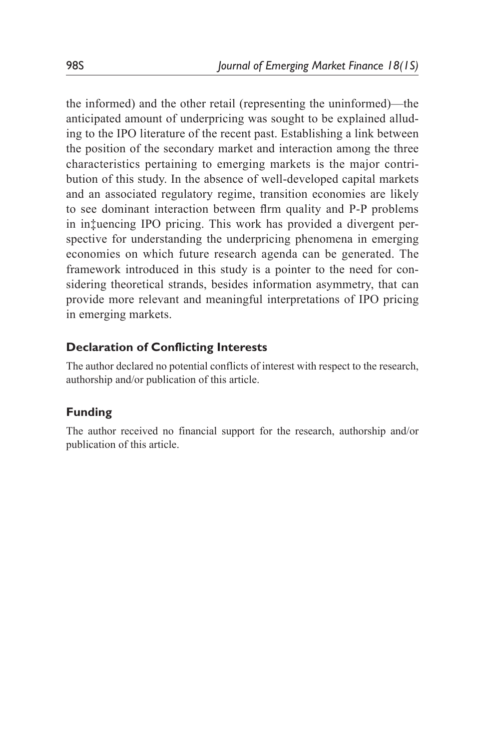the informed) and the other retail (representing the uninformed)—the anticipated amount of underpricing was sought to be explained alluding to the IPO literature of the recent past. Establishing a link between the position of the secondary market and interaction among the three characteristics pertaining to emerging markets is the major contribution of this study. In the absence of well-developed capital markets and an associated regulatory regime, transition economies are likely to see dominant interaction between firm quality and P-P problems in influencing IPO pricing. This work has provided a divergent perspective for understanding the underpricing phenomena in emerging economies on which future research agenda can be generated. The framework introduced in this study is a pointer to the need for considering theoretical strands, besides information asymmetry, that can provide more relevant and meaningful interpretations of IPO pricing in emerging markets.

#### **Declaration of Conflicting Interests**

The author declared no potential conflicts of interest with respect to the research, authorship and/or publication of this article.

#### **Funding**

The author received no financial support for the research, authorship and/or publication of this article.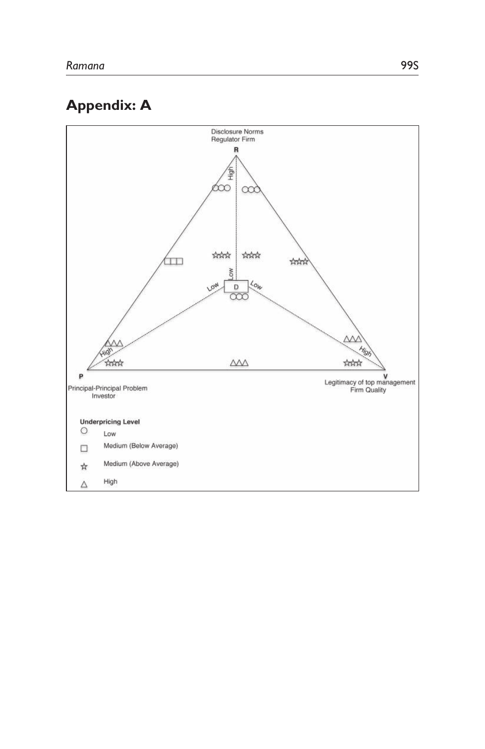## **Appendix: A**

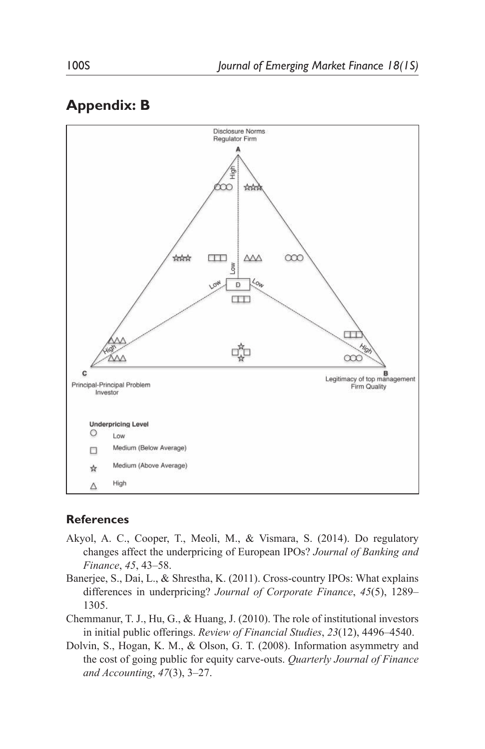### **Appendix: B**



#### **References**

- Akyol, A. C., Cooper, T., Meoli, M., & Vismara, S. (2014). Do regulatory changes affect the underpricing of European IPOs? *Journal of Banking and Finance*, *45*, 43–58.
- Banerjee, S., Dai, L., & Shrestha, K. (2011). Cross-country IPOs: What explains differences in underpricing? *Journal of Corporate Finance*, *45*(5), 1289– 1305.
- Chemmanur, T. J., Hu, G., & Huang, J. (2010). The role of institutional investors in initial public offerings. *Review of Financial Studies*, *23*(12), 4496–4540.
- Dolvin, S., Hogan, K. M., & Olson, G. T. (2008). Information asymmetry and the cost of going public for equity carve-outs. *Quarterly Journal of Finance and Accounting*, *47*(3), 3–27.